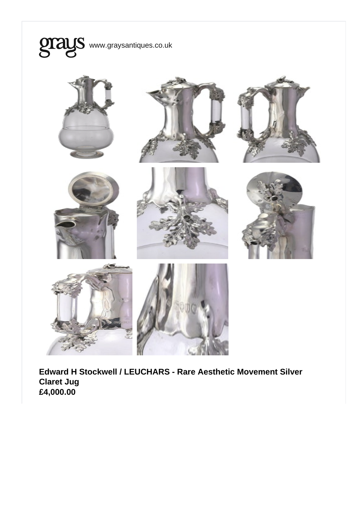

Edward H Stockwell / LEUCHARS - Rare Aesthetic Movement Silver Claret Jug £4,000.00